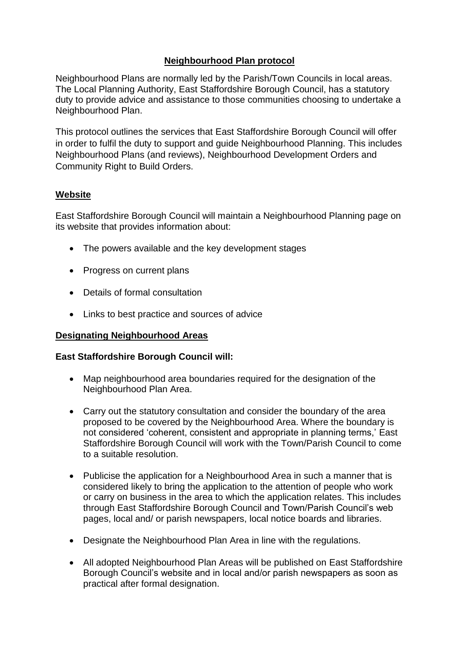## **Neighbourhood Plan protocol**

Neighbourhood Plans are normally led by the Parish/Town Councils in local areas. The Local Planning Authority, East Staffordshire Borough Council, has a statutory duty to provide advice and assistance to those communities choosing to undertake a Neighbourhood Plan.

This protocol outlines the services that East Staffordshire Borough Council will offer in order to fulfil the duty to support and guide Neighbourhood Planning. This includes Neighbourhood Plans (and reviews), Neighbourhood Development Orders and Community Right to Build Orders.

### **Website**

East Staffordshire Borough Council will maintain a Neighbourhood Planning page on its website that provides information about:

- The powers available and the key development stages
- Progress on current plans
- Details of formal consultation
- Links to best practice and sources of advice

#### **Designating Neighbourhood Areas**

#### **East Staffordshire Borough Council will:**

- Map neighbourhood area boundaries required for the designation of the Neighbourhood Plan Area.
- Carry out the statutory consultation and consider the boundary of the area proposed to be covered by the Neighbourhood Area. Where the boundary is not considered 'coherent, consistent and appropriate in planning terms,' East Staffordshire Borough Council will work with the Town/Parish Council to come to a suitable resolution.
- Publicise the application for a Neighbourhood Area in such a manner that is considered likely to bring the application to the attention of people who work or carry on business in the area to which the application relates. This includes through East Staffordshire Borough Council and Town/Parish Council's web pages, local and/ or parish newspapers, local notice boards and libraries.
- Designate the Neighbourhood Plan Area in line with the regulations.
- All adopted Neighbourhood Plan Areas will be published on East Staffordshire Borough Council's website and in local and/or parish newspapers as soon as practical after formal designation.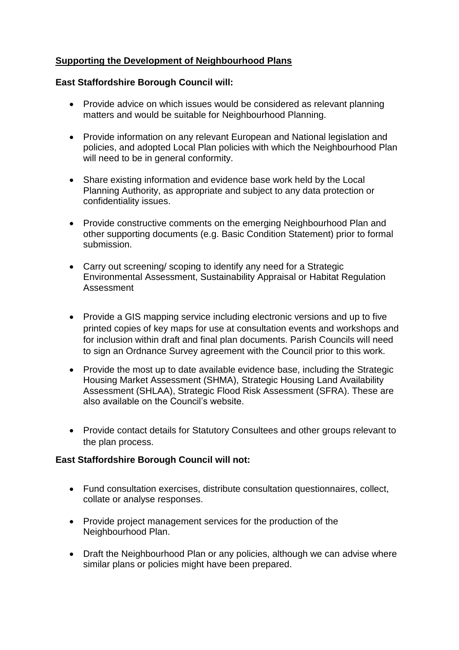# **Supporting the Development of Neighbourhood Plans**

### **East Staffordshire Borough Council will:**

- Provide advice on which issues would be considered as relevant planning matters and would be suitable for Neighbourhood Planning.
- Provide information on any relevant European and National legislation and policies, and adopted Local Plan policies with which the Neighbourhood Plan will need to be in general conformity.
- Share existing information and evidence base work held by the Local Planning Authority, as appropriate and subject to any data protection or confidentiality issues.
- Provide constructive comments on the emerging Neighbourhood Plan and other supporting documents (e.g. Basic Condition Statement) prior to formal submission.
- Carry out screening/ scoping to identify any need for a Strategic Environmental Assessment, Sustainability Appraisal or Habitat Regulation Assessment
- Provide a GIS mapping service including electronic versions and up to five printed copies of key maps for use at consultation events and workshops and for inclusion within draft and final plan documents. Parish Councils will need to sign an Ordnance Survey agreement with the Council prior to this work.
- Provide the most up to date available evidence base, including the Strategic Housing Market Assessment (SHMA), Strategic Housing Land Availability Assessment (SHLAA), Strategic Flood Risk Assessment (SFRA). These are also available on the Council's website.
- Provide contact details for Statutory Consultees and other groups relevant to the plan process.

# **East Staffordshire Borough Council will not:**

- Fund consultation exercises, distribute consultation questionnaires, collect, collate or analyse responses.
- Provide project management services for the production of the Neighbourhood Plan.
- Draft the Neighbourhood Plan or any policies, although we can advise where similar plans or policies might have been prepared.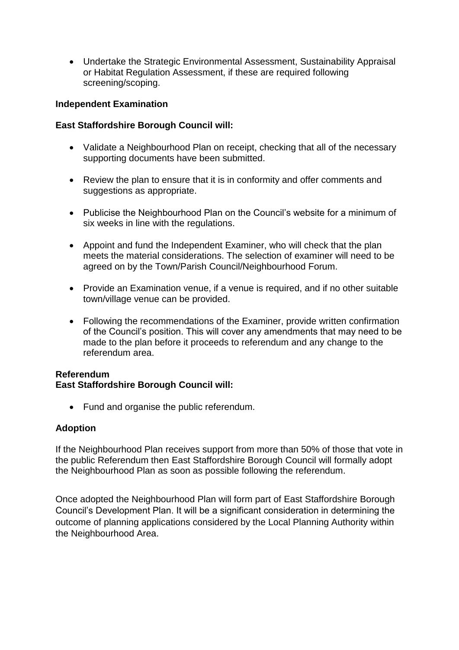Undertake the Strategic Environmental Assessment, Sustainability Appraisal or Habitat Regulation Assessment, if these are required following screening/scoping.

### **Independent Examination**

### **East Staffordshire Borough Council will:**

- Validate a Neighbourhood Plan on receipt, checking that all of the necessary supporting documents have been submitted.
- Review the plan to ensure that it is in conformity and offer comments and suggestions as appropriate.
- Publicise the Neighbourhood Plan on the Council's website for a minimum of six weeks in line with the regulations.
- Appoint and fund the Independent Examiner, who will check that the plan meets the material considerations. The selection of examiner will need to be agreed on by the Town/Parish Council/Neighbourhood Forum.
- Provide an Examination venue, if a venue is required, and if no other suitable town/village venue can be provided.
- Following the recommendations of the Examiner, provide written confirmation of the Council's position. This will cover any amendments that may need to be made to the plan before it proceeds to referendum and any change to the referendum area.

### **Referendum**

### **East Staffordshire Borough Council will:**

• Fund and organise the public referendum.

### **Adoption**

If the Neighbourhood Plan receives support from more than 50% of those that vote in the public Referendum then East Staffordshire Borough Council will formally adopt the Neighbourhood Plan as soon as possible following the referendum.

Once adopted the Neighbourhood Plan will form part of East Staffordshire Borough Council's Development Plan. It will be a significant consideration in determining the outcome of planning applications considered by the Local Planning Authority within the Neighbourhood Area.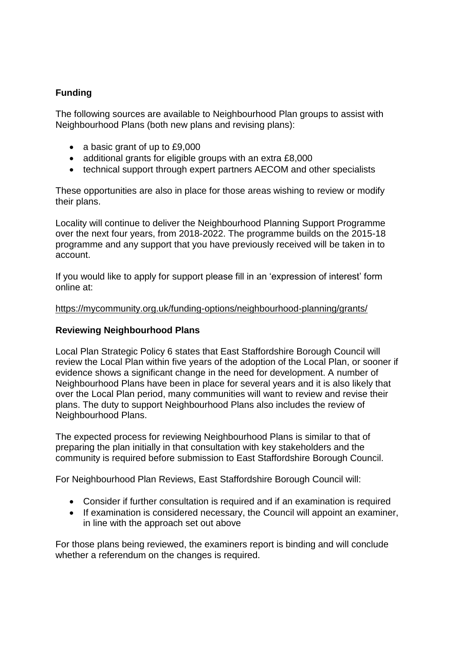# **Funding**

The following sources are available to Neighbourhood Plan groups to assist with Neighbourhood Plans (both new plans and revising plans):

- a basic grant of up to £9,000
- additional grants for eligible groups with an extra £8,000
- technical support through expert partners AECOM and other specialists

These opportunities are also in place for those areas wishing to review or modify their plans.

Locality will continue to deliver the Neighbourhood Planning Support Programme over the next four years, from 2018-2022. The programme builds on the 2015-18 programme and any support that you have previously received will be taken in to account.

If you would like to apply for support please fill in an 'expression of interest' form online at:

#### <https://mycommunity.org.uk/funding-options/neighbourhood-planning/grants/>

### **Reviewing Neighbourhood Plans**

Local Plan Strategic Policy 6 states that East Staffordshire Borough Council will review the Local Plan within five years of the adoption of the Local Plan, or sooner if evidence shows a significant change in the need for development. A number of Neighbourhood Plans have been in place for several years and it is also likely that over the Local Plan period, many communities will want to review and revise their plans. The duty to support Neighbourhood Plans also includes the review of Neighbourhood Plans.

The expected process for reviewing Neighbourhood Plans is similar to that of preparing the plan initially in that consultation with key stakeholders and the community is required before submission to East Staffordshire Borough Council.

For Neighbourhood Plan Reviews, East Staffordshire Borough Council will:

- Consider if further consultation is required and if an examination is required
- If examination is considered necessary, the Council will appoint an examiner, in line with the approach set out above

For those plans being reviewed, the examiners report is binding and will conclude whether a referendum on the changes is required.